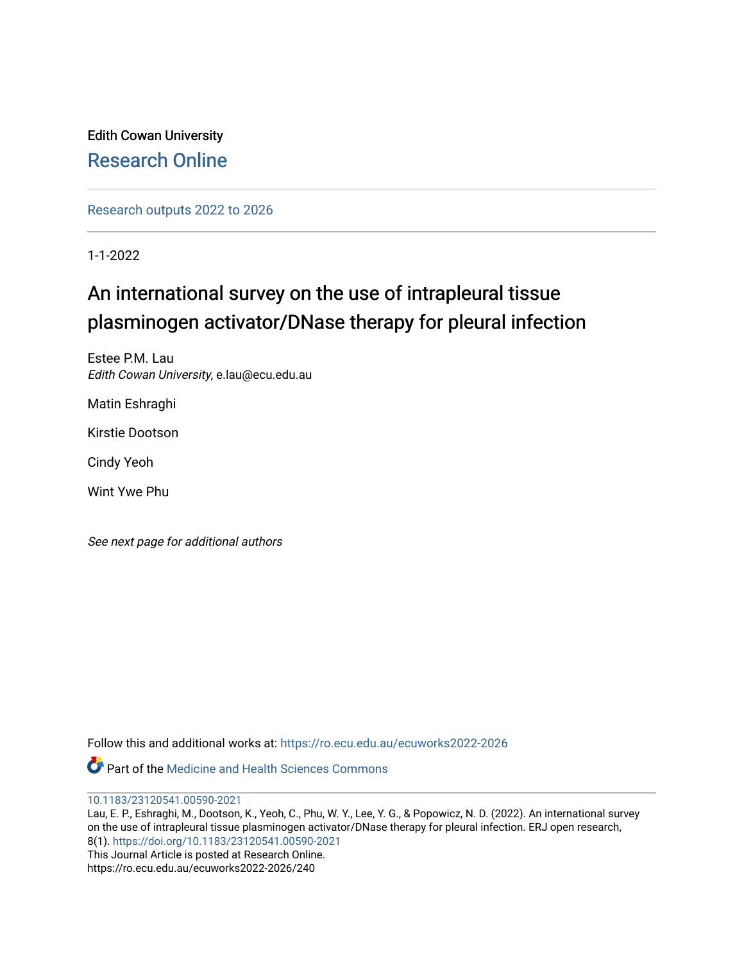Edith Cowan University [Research Online](https://ro.ecu.edu.au/) 

[Research outputs 2022 to 2026](https://ro.ecu.edu.au/ecuworks2022-2026) 

1-1-2022

# An international survey on the use of intrapleural tissue plasminogen activator/DNase therapy for pleural infection

Estee P.M. Lau Edith Cowan University, e.lau@ecu.edu.au

Matin Eshraghi

Kirstie Dootson

Cindy Yeoh

Wint Ywe Phu

See next page for additional authors

Follow this and additional works at: [https://ro.ecu.edu.au/ecuworks2022-2026](https://ro.ecu.edu.au/ecuworks2022-2026?utm_source=ro.ecu.edu.au%2Fecuworks2022-2026%2F240&utm_medium=PDF&utm_campaign=PDFCoverPages)

**C**<sup> $\bullet$ </sup> Part of the Medicine and Health Sciences Commons

[10.1183/23120541.00590-2021](http://dx.doi.org/10.1183/23120541.00590-2021)

Lau, E. P., Eshraghi, M., Dootson, K., Yeoh, C., Phu, W. Y., Lee, Y. G., & Popowicz, N. D. (2022). An international survey on the use of intrapleural tissue plasminogen activator/DNase therapy for pleural infection. ERJ open research, 8(1). <https://doi.org/10.1183/23120541.00590-2021> This Journal Article is posted at Research Online. https://ro.ecu.edu.au/ecuworks2022-2026/240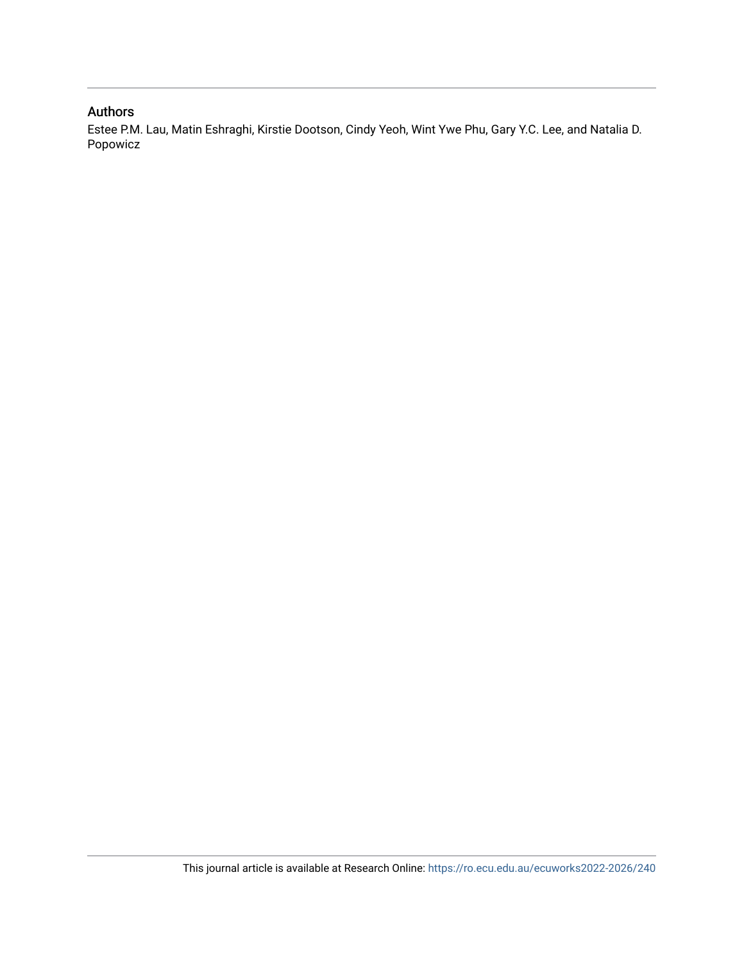# Authors

Estee P.M. Lau, Matin Eshraghi, Kirstie Dootson, Cindy Yeoh, Wint Ywe Phu, Gary Y.C. Lee, and Natalia D. Popowicz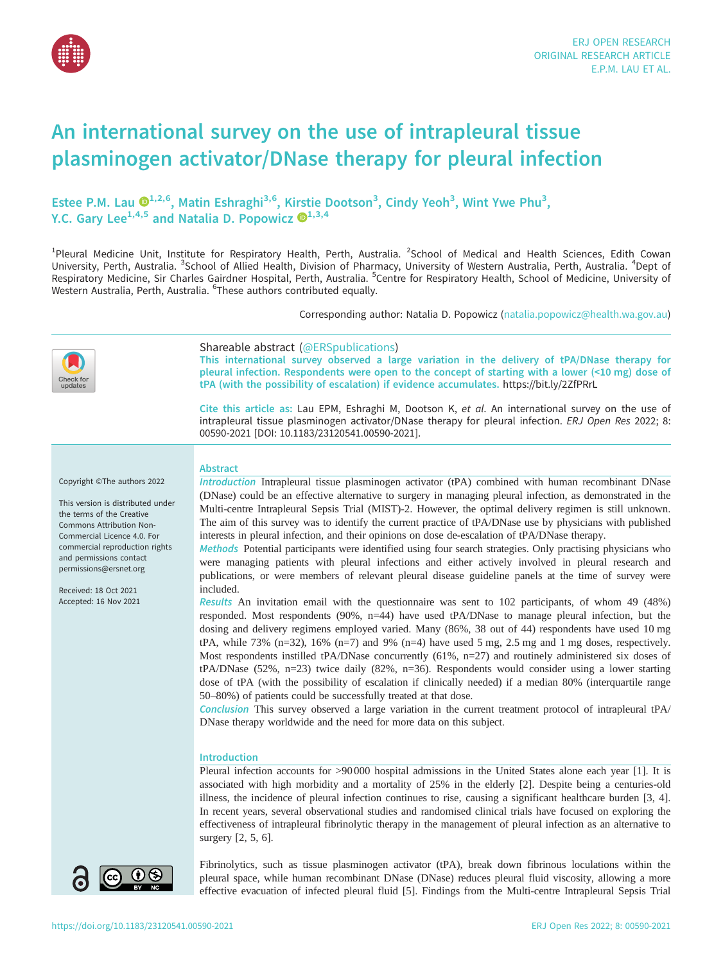

# An international survey on the use of intrapleural tissue plasminogen activator/DNase therapy for pleural infection

Estee P.M. Lau  $\mathbf{Q}^{1,2,6}$  $\mathbf{Q}^{1,2,6}$  $\mathbf{Q}^{1,2,6}$ , Matin Eshraghi<sup>3,6</sup>, Kirstie Dootson<sup>3</sup>, Cindy Yeoh<sup>3</sup>, Wint Ywe Phu<sup>3</sup>, Y.C. Gary Lee<sup>1,4,5</sup> and Natalia D. Popowicz  $\mathbb{D}^{1,3,4}$ 

<sup>1</sup>Pleural Medicine Unit, Institute for Respiratory Health, Perth, Australia. <sup>2</sup>School of Medical and Health Sciences, Edith Cowan University, Perth, Australia. <sup>3</sup>School of Allied Health, Division of Pharmacy, University of Western Australia, Perth, Australia. <sup>4</sup>Dept of Respiratory Medicine, Sir Charles Gairdner Hospital, Perth, Australia. <sup>5</sup>Centre for Respiratory Health, School of Medicine, University of Western Australia, Perth, Australia. <sup>6</sup>These authors contributed equally.

Corresponding author: Natalia D. Popowicz [\(natalia.popowicz@health.wa.gov.au](mailto:natalia.popowicz@health.wa.gov.au))

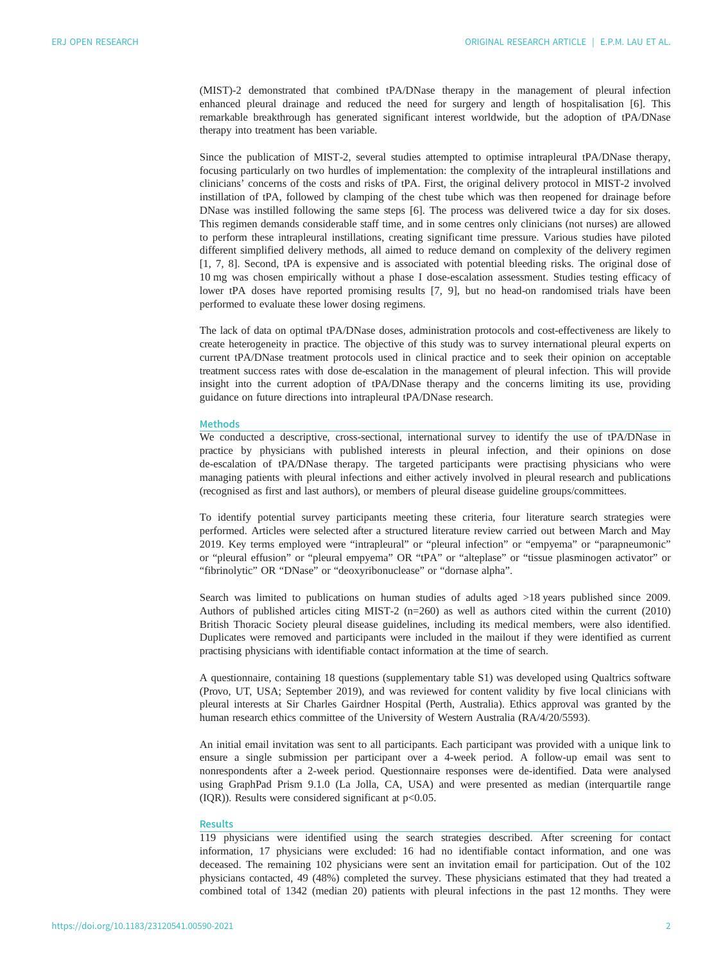(MIST)-2 demonstrated that combined tPA/DNase therapy in the management of pleural infection enhanced pleural drainage and reduced the need for surgery and length of hospitalisation [\[6\]](#page-6-0). This remarkable breakthrough has generated significant interest worldwide, but the adoption of tPA/DNase therapy into treatment has been variable.

Since the publication of MIST-2, several studies attempted to optimise intrapleural tPA/DNase therapy, focusing particularly on two hurdles of implementation: the complexity of the intrapleural instillations and clinicians' concerns of the costs and risks of tPA. First, the original delivery protocol in MIST-2 involved instillation of tPA, followed by clamping of the chest tube which was then reopened for drainage before DNase was instilled following the same steps [[6](#page-6-0)]. The process was delivered twice a day for six doses. This regimen demands considerable staff time, and in some centres only clinicians (not nurses) are allowed to perform these intrapleural instillations, creating significant time pressure. Various studies have piloted different simplified delivery methods, all aimed to reduce demand on complexity of the delivery regimen [\[1, 7](#page-6-0), [8\]](#page-6-0). Second, tPA is expensive and is associated with potential bleeding risks. The original dose of 10 mg was chosen empirically without a phase I dose-escalation assessment. Studies testing efficacy of lower tPA doses have reported promising results [[7](#page-6-0), [9\]](#page-6-0), but no head-on randomised trials have been performed to evaluate these lower dosing regimens.

The lack of data on optimal tPA/DNase doses, administration protocols and cost-effectiveness are likely to create heterogeneity in practice. The objective of this study was to survey international pleural experts on current tPA/DNase treatment protocols used in clinical practice and to seek their opinion on acceptable treatment success rates with dose de-escalation in the management of pleural infection. This will provide insight into the current adoption of tPA/DNase therapy and the concerns limiting its use, providing guidance on future directions into intrapleural tPA/DNase research.

### Methods

We conducted a descriptive, cross-sectional, international survey to identify the use of tPA/DNase in practice by physicians with published interests in pleural infection, and their opinions on dose de-escalation of tPA/DNase therapy. The targeted participants were practising physicians who were managing patients with pleural infections and either actively involved in pleural research and publications (recognised as first and last authors), or members of pleural disease guideline groups/committees.

To identify potential survey participants meeting these criteria, four literature search strategies were performed. Articles were selected after a structured literature review carried out between March and May 2019. Key terms employed were "intrapleural" or "pleural infection" or "empyema" or "parapneumonic" or "pleural effusion" or "pleural empyema" OR "tPA" or "alteplase" or "tissue plasminogen activator" or "fibrinolytic" OR "DNase" or "deoxyribonuclease" or "dornase alpha".

Search was limited to publications on human studies of adults aged >18 years published since 2009. Authors of published articles citing MIST-2 (n=260) as well as authors cited within the current (2010) British Thoracic Society pleural disease guidelines, including its medical members, were also identified. Duplicates were removed and participants were included in the mailout if they were identified as current practising physicians with identifiable contact information at the time of search.

A questionnaire, containing 18 questions [\(supplementary table S1](http://openres.ersjournals.com/lookup/doi/10.1183/23120541.00590-2021.figures-only#fig-data-supplementary-materials)) was developed using Qualtrics software (Provo, UT, USA; September 2019), and was reviewed for content validity by five local clinicians with pleural interests at Sir Charles Gairdner Hospital (Perth, Australia). Ethics approval was granted by the human research ethics committee of the University of Western Australia (RA/4/20/5593).

An initial email invitation was sent to all participants. Each participant was provided with a unique link to ensure a single submission per participant over a 4-week period. A follow-up email was sent to nonrespondents after a 2-week period. Questionnaire responses were de-identified. Data were analysed using GraphPad Prism 9.1.0 (La Jolla, CA, USA) and were presented as median (interquartile range (IQR)). Results were considered significant at  $p$ <0.05.

# **Results**

119 physicians were identified using the search strategies described. After screening for contact information, 17 physicians were excluded: 16 had no identifiable contact information, and one was deceased. The remaining 102 physicians were sent an invitation email for participation. Out of the 102 physicians contacted, 49 (48%) completed the survey. These physicians estimated that they had treated a combined total of 1342 (median 20) patients with pleural infections in the past 12 months. They were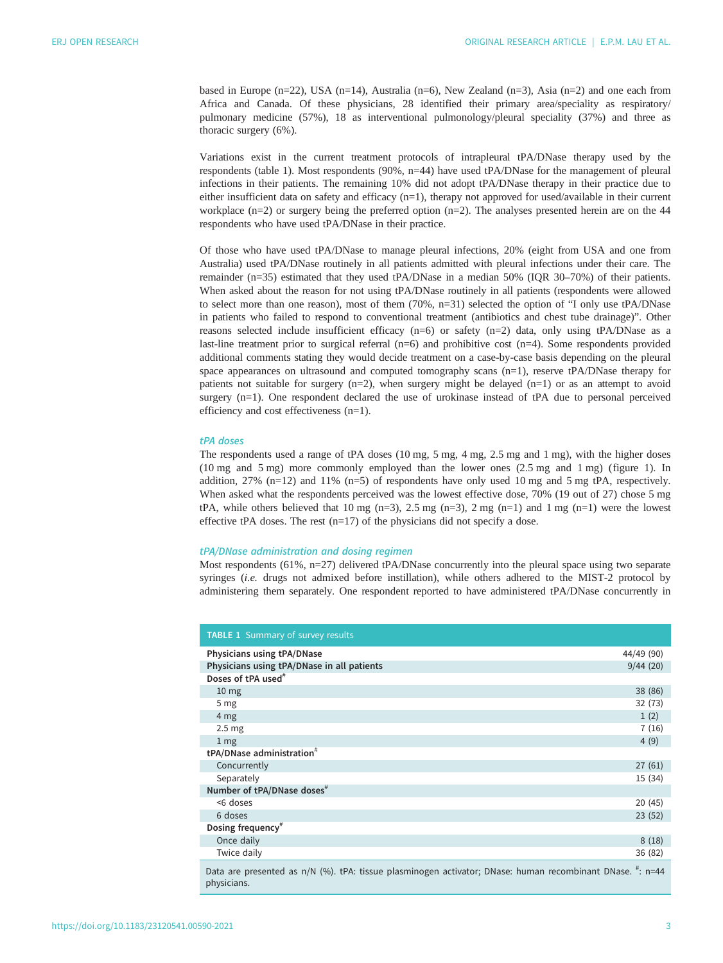based in Europe (n=22), USA (n=14), Australia (n=6), New Zealand (n=3), Asia (n=2) and one each from Africa and Canada. Of these physicians, 28 identified their primary area/speciality as respiratory/ pulmonary medicine (57%), 18 as interventional pulmonology/pleural speciality (37%) and three as thoracic surgery (6%).

Variations exist in the current treatment protocols of intrapleural tPA/DNase therapy used by the respondents (table 1). Most respondents (90%, n=44) have used tPA/DNase for the management of pleural infections in their patients. The remaining 10% did not adopt tPA/DNase therapy in their practice due to either insufficient data on safety and efficacy (n=1), therapy not approved for used/available in their current workplace ( $n=2$ ) or surgery being the preferred option ( $n=2$ ). The analyses presented herein are on the 44 respondents who have used tPA/DNase in their practice.

Of those who have used tPA/DNase to manage pleural infections, 20% (eight from USA and one from Australia) used tPA/DNase routinely in all patients admitted with pleural infections under their care. The remainder (n=35) estimated that they used tPA/DNase in a median 50% (IQR 30–70%) of their patients. When asked about the reason for not using tPA/DNase routinely in all patients (respondents were allowed to select more than one reason), most of them (70%, n=31) selected the option of "I only use tPA/DNase in patients who failed to respond to conventional treatment (antibiotics and chest tube drainage)". Other reasons selected include insufficient efficacy (n=6) or safety (n=2) data, only using tPA/DNase as a last-line treatment prior to surgical referral  $(n=6)$  and prohibitive cost  $(n=4)$ . Some respondents provided additional comments stating they would decide treatment on a case-by-case basis depending on the pleural space appearances on ultrasound and computed tomography scans (n=1), reserve tPA/DNase therapy for patients not suitable for surgery (n=2), when surgery might be delayed (n=1) or as an attempt to avoid surgery (n=1). One respondent declared the use of urokinase instead of tPA due to personal perceived efficiency and cost effectiveness (n=1).

#### tPA doses

physicians.

The respondents used a range of tPA doses (10 mg, 5 mg, 4 mg, 2.5 mg and 1 mg), with the higher doses (10 mg and 5 mg) more commonly employed than the lower ones (2.5 mg and 1 mg) ([figure 1](#page-5-0)). In addition,  $27\%$  (n=12) and  $11\%$  (n=5) of respondents have only used 10 mg and 5 mg tPA, respectively. When asked what the respondents perceived was the lowest effective dose, 70% (19 out of 27) chose 5 mg tPA, while others believed that 10 mg (n=3), 2.5 mg (n=3), 2 mg (n=1) and 1 mg (n=1) were the lowest effective tPA doses. The rest  $(n=17)$  of the physicians did not specify a dose.

# tPA/DNase administration and dosing regimen

Most respondents (61%, n=27) delivered tPA/DNase concurrently into the pleural space using two separate syringes (i.e. drugs not admixed before instillation), while others adhered to the MIST-2 protocol by administering them separately. One respondent reported to have administered tPA/DNase concurrently in

| <b>TABLE 1 Summary of survey results</b>                                                                  |            |
|-----------------------------------------------------------------------------------------------------------|------------|
| Physicians using tPA/DNase                                                                                | 44/49 (90) |
| Physicians using tPA/DNase in all patients                                                                | 9/44(20)   |
| Doses of tPA used <sup>#</sup>                                                                            |            |
| 10 <sub>mg</sub>                                                                                          | 38 (86)    |
| 5 <sub>mg</sub>                                                                                           | 32(73)     |
| 4 mg                                                                                                      | 1(2)       |
| 2.5 <sub>mg</sub>                                                                                         | 7(16)      |
| 1 <sub>mg</sub>                                                                                           | 4(9)       |
| tPA/DNase administration <sup>#</sup>                                                                     |            |
| Concurrently                                                                                              | 27(61)     |
| Separately                                                                                                | 15 (34)    |
| Number of tPA/DNase doses <sup>#</sup>                                                                    |            |
| <6 doses                                                                                                  | 20(45)     |
| 6 doses                                                                                                   | 23(52)     |
| Dosing frequency <sup>#</sup>                                                                             |            |
| Once daily                                                                                                | 8(18)      |
| Twice daily                                                                                               | 36 (82)    |
| Data are presented as n/N (%). tPA: tissue plasminogen activator; DNase: human recombinant DNase. ": n=44 |            |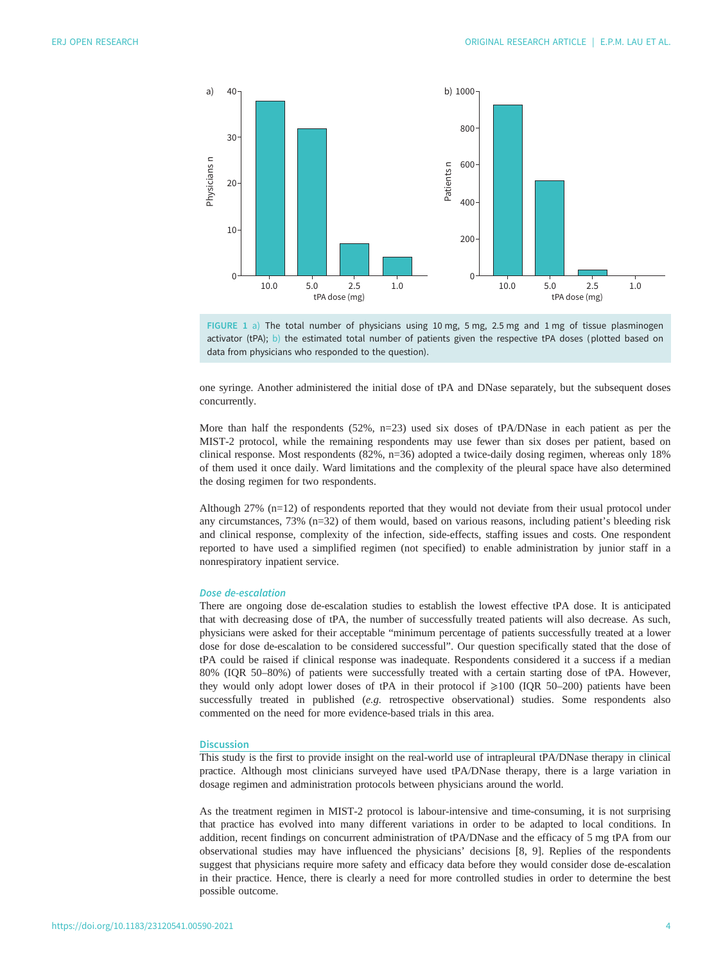<span id="page-5-0"></span>



one syringe. Another administered the initial dose of tPA and DNase separately, but the subsequent doses concurrently.

More than half the respondents (52%, n=23) used six doses of tPA/DNase in each patient as per the MIST-2 protocol, while the remaining respondents may use fewer than six doses per patient, based on clinical response. Most respondents (82%, n=36) adopted a twice-daily dosing regimen, whereas only 18% of them used it once daily. Ward limitations and the complexity of the pleural space have also determined the dosing regimen for two respondents.

Although 27% (n=12) of respondents reported that they would not deviate from their usual protocol under any circumstances, 73% (n=32) of them would, based on various reasons, including patient's bleeding risk and clinical response, complexity of the infection, side-effects, staffing issues and costs. One respondent reported to have used a simplified regimen (not specified) to enable administration by junior staff in a nonrespiratory inpatient service.

### Dose de-escalation

There are ongoing dose de-escalation studies to establish the lowest effective tPA dose. It is anticipated that with decreasing dose of tPA, the number of successfully treated patients will also decrease. As such, physicians were asked for their acceptable "minimum percentage of patients successfully treated at a lower dose for dose de-escalation to be considered successful". Our question specifically stated that the dose of tPA could be raised if clinical response was inadequate. Respondents considered it a success if a median 80% (IQR 50–80%) of patients were successfully treated with a certain starting dose of tPA. However, they would only adopt lower doses of tPA in their protocol if  $\geq 100$  (IQR 50–200) patients have been successfully treated in published (e.g. retrospective observational) studies. Some respondents also commented on the need for more evidence-based trials in this area.

#### **Discussion**

This study is the first to provide insight on the real-world use of intrapleural tPA/DNase therapy in clinical practice. Although most clinicians surveyed have used tPA/DNase therapy, there is a large variation in dosage regimen and administration protocols between physicians around the world.

As the treatment regimen in MIST-2 protocol is labour-intensive and time-consuming, it is not surprising that practice has evolved into many different variations in order to be adapted to local conditions. In addition, recent findings on concurrent administration of tPA/DNase and the efficacy of 5 mg tPA from our observational studies may have influenced the physicians' decisions [[8](#page-6-0), [9](#page-6-0)]. Replies of the respondents suggest that physicians require more safety and efficacy data before they would consider dose de-escalation in their practice. Hence, there is clearly a need for more controlled studies in order to determine the best possible outcome.